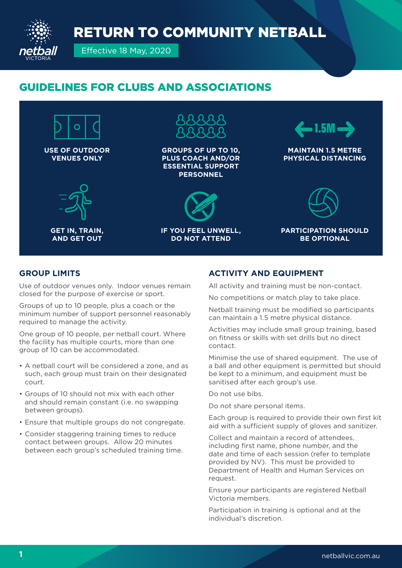RETURN TO COMMUNITY NETBALL



Effective 18 May, 2020

## GUIDELINES FOR CLUBS AND ASSOCIATIONS



### **GROUP LIMITS**

Use of outdoor venues only. Indoor venues remain closed for the purpose of exercise or sport.

Groups of up to 10 people, plus a coach or the minimum number of support personnel reasonably required to manage the activity.

One group of 10 people, per netball court. Where the facility has multiple courts, more than one group of 10 can be accommodated.

- A netball court will be considered a zone, and as such, each group must train on their designated court.
- Groups of 10 should not mix with each other and should remain constant (i.e. no swapping between groups).
- Ensure that multiple groups do not congregate.
- Consider staggering training times to reduce contact between groups. Allow 20 minutes between each group's scheduled training time.

### **ACTIVITY AND EQUIPMENT**

All activity and training must be non-contact.

No competitions or match play to take place.

Netball training must be modified so participants can maintain a 1.5 metre physical distance.

Activities may include small group training, based on fitness or skills with set drills but no direct contact.

Minimise the use of shared equipment. The use of a ball and other equipment is permitted but should be kept to a minimum, and equipment must be sanitised after each group's use.

Do not use bibs.

Do not share personal items.

Each group is required to provide their own first kit aid with a sufficient supply of gloves and sanitizer.

Collect and maintain a record of attendees, including first name, phone number, and the date and time of each session (refer to template provided by NV). This must be provided to Department of Health and Human Services on request.

Ensure your participants are registered Netball Victoria members.

Participation in training is optional and at the individual's discretion.